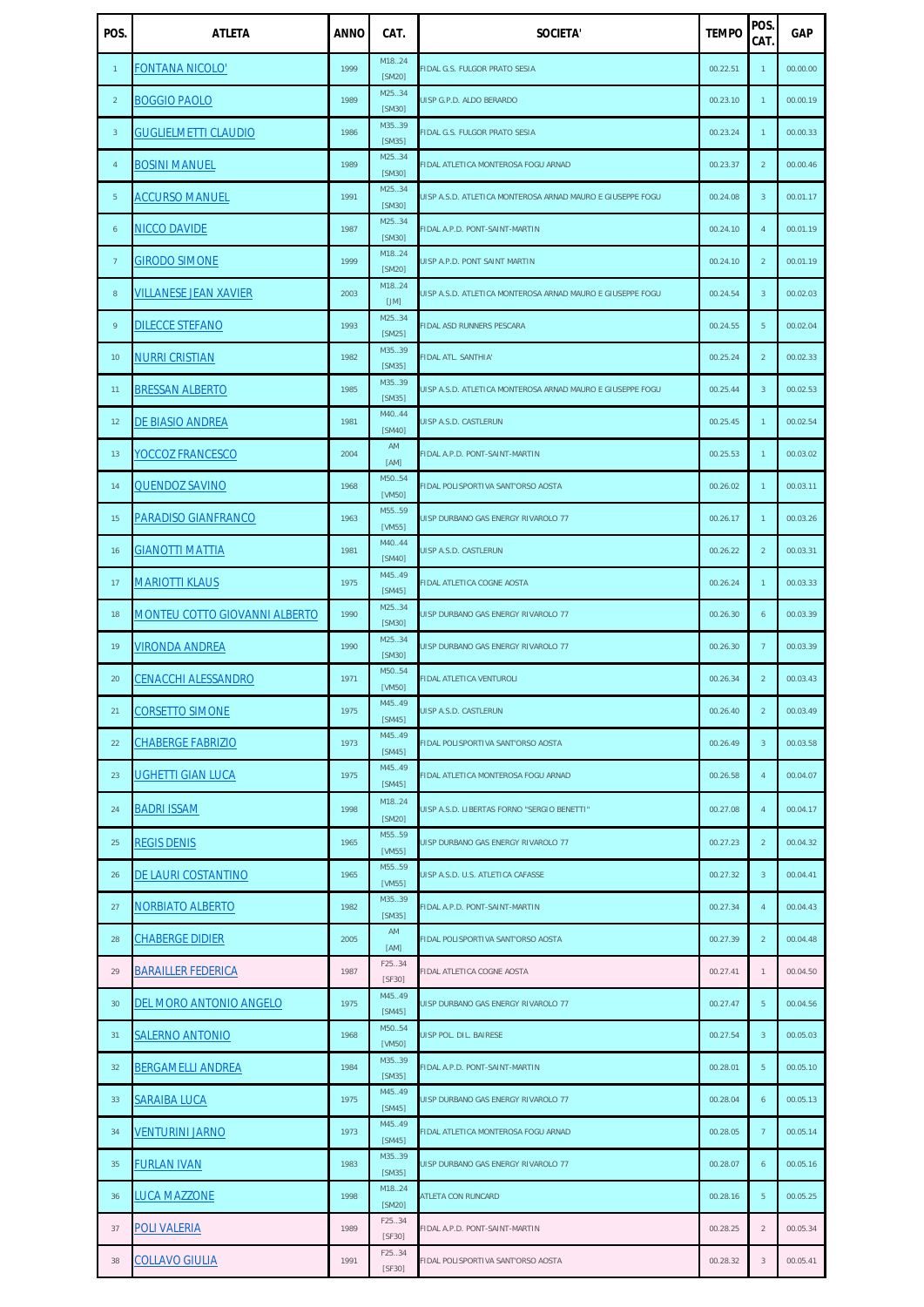| POS.            | <b>ATLETA</b>                        | <b>ANNO</b> | CAT.             | <b>SOCIETA'</b>                                            | <b>TEMPO</b> | POS.<br>CAT.    | <b>GAP</b> |
|-----------------|--------------------------------------|-------------|------------------|------------------------------------------------------------|--------------|-----------------|------------|
| $\mathbf{1}$    | <b>FONTANA NICOLO'</b>               | 1999        | M1824<br>[SM20]  | FIDAL G.S. FULGOR PRATO SESIA                              | 00.22.51     | $\mathbf{1}$    | 00.00.00   |
| $\overline{2}$  | <b>BOGGIO PAOLO</b>                  | 1989        | M2534<br>[SM30]  | UISP G.P.D. ALDO BERARDO                                   | 00.23.10     | $\mathbf{1}$    | 00.00.19   |
| $\mathbf{3}$    | <b>GUGLIELMETTI CLAUDIO</b>          | 1986        | M3539<br>[SM35]  | <b>FIDAL G.S. FULGOR PRATO SESIA</b>                       | 00.23.24     | $\mathbf{1}$    | 00.00.33   |
| $\overline{4}$  | <b>BOSINI MANUEL</b>                 | 1989        | M25.34<br>[SM30] | FIDAL ATLETICA MONTEROSA FOGU ARNAD                        | 00.23.37     | $\overline{2}$  | 00.00.46   |
| 5 <sup>5</sup>  | <b>ACCURSO MANUEL</b>                | 1991        | M2534<br>[SM30]  | UISP A.S.D. ATLETICA MONTEROSA ARNAD MAURO E GIUSEPPE FOGU | 00.24.08     | $\mathbf{3}$    | 00.01.17   |
| 6               | <b>NICCO DAVIDE</b>                  | 1987        | M25.34<br>[SM30] | FIDAL A.P.D. PONT-SAINT-MARTIN                             | 00.24.10     | $\overline{4}$  | 00.01.19   |
| $\overline{7}$  | <b>GIRODO SIMONE</b>                 | 1999        | M1824<br>[SM20]  | UISP A.P.D. PONT SAINT MARTIN                              | 00.24.10     | $\overline{2}$  | 00.01.19   |
| 8               | <b>VILLANESE JEAN XAVIER</b>         | 2003        | M1824<br>[JM]    | UISP A.S.D. ATLETICA MONTEROSA ARNAD MAURO E GIUSEPPE FOGU | 00.24.54     | $\overline{3}$  | 00.02.03   |
| 9               | <b>DILECCE STEFANO</b>               | 1993        | M25.34<br>[SM25] | <b>FIDAL ASD RUNNERS PESCARA</b>                           | 00.24.55     | $5\phantom{.0}$ | 00.02.04   |
| 10 <sup>°</sup> | <b>NURRI CRISTIAN</b>                | 1982        | M3539<br>[SM35]  | <b>FIDAL ATL. SANTHIA'</b>                                 | 00.25.24     | 2               | 00.02.33   |
| 11              | <b>BRESSAN ALBERTO</b>               | 1985        | M3539<br>[SM35]  | UISP A.S.D. ATLETICA MONTEROSA ARNAD MAURO E GIUSEPPE FOGU | 00.25.44     | $\overline{3}$  | 00.02.53   |
| 12              | DE BIASIO ANDREA                     | 1981        | M4044<br>[SM40]  | UISP A.S.D. CASTLERUN                                      | 00.25.45     | $\mathbf{1}$    | 00.02.54   |
| 13              | <b>YOCCOZ FRANCESCO</b>              | 2004        | AM<br>[AM]       | FIDAL A.P.D. PONT-SAINT-MARTIN                             | 00.25.53     | $\mathbf{1}$    | 00.03.02   |
| 14              | <b>QUENDOZ SAVINO</b>                | 1968        | M5054<br>[VM50]  | FIDAL POLISPORTIVA SANT'ORSO AOSTA                         | 00.26.02     | $\mathbf{1}$    | 00.03.11   |
| 15              | <b>PARADISO GIANFRANCO</b>           | 1963        | M5559<br>[VM55]  | UISP DURBANO GAS ENERGY RIVAROLO 77                        | 00.26.17     | $\mathbf{1}$    | 00.03.26   |
| 16              | <b>GIANOTTI MATTIA</b>               | 1981        | M4044<br>[SM40]  | UISP A.S.D. CASTLERUN                                      | 00.26.22     | 2               | 00.03.31   |
| 17              | <b>MARIOTTI KLAUS</b>                | 1975        | M45.49<br>[SM45] | <b>FIDAL ATLETICA COGNE AOSTA</b>                          | 00.26.24     | $\mathbf{1}$    | 00.03.33   |
| 18              | <b>MONTEU COTTO GIOVANNI ALBERTO</b> | 1990        | M2534<br>[SM30]  | UISP DURBANO GAS ENERGY RIVAROLO 77                        | 00.26.30     | 6               | 00.03.39   |
| 19              | <b>VIRONDA ANDREA</b>                | 1990        | M2534<br>[SM30]  | UISP DURBANO GAS ENERGY RIVAROLO 77                        | 00.26.30     | $7\overline{ }$ | 00.03.39   |
| 20              | <b>CENACCHI ALESSANDRO</b>           | 1971        | M5054<br>[VM50]  | <b>FIDAL ATLETICA VENTUROLI</b>                            | 00.26.34     | 2               | 00.03.43   |
| 21              | <b>CORSETTO SIMONE</b>               | 1975        | M45.49<br>[SM45] | UISP A.S.D. CASTLERUN                                      | 00.26.40     | $\overline{2}$  | 00.03.49   |
| 22              | <b>CHABERGE FABRIZIO</b>             | 1973        | M4549<br>[SM45]  | FIDAL POLISPORTIVA SANT'ORSO AOSTA                         | 00.26.49     | $\overline{3}$  | 00.03.58   |
| 23              | <b>UGHETTI GIAN LUCA</b>             | 1975        | M45.49<br>[SM45] | FIDAL ATLETICA MONTEROSA FOGU ARNAD                        | 00.26.58     | $\overline{4}$  | 00.04.07   |
| 24              | <b>BADRI ISSAM</b>                   | 1998        | M1824<br>[SM20]  | UISP A.S.D. LIBERTAS FORNO "SERGIO BENETTI"                | 00.27.08     | $\overline{4}$  | 00.04.17   |
| 25              | <b>REGIS DENIS</b>                   | 1965        | M5559<br>[VM55]  | UISP DURBANO GAS ENERGY RIVAROLO 77                        | 00.27.23     | $\overline{2}$  | 00.04.32   |
| 26              | DE LAURI COSTANTINO                  | 1965        | M5559<br>[VM55]  | UISP A.S.D. U.S. ATLETICA CAFASSE                          | 00.27.32     | $\overline{3}$  | 00.04.41   |
| 27              | <b>NORBIATO ALBERTO</b>              | 1982        | M35.39<br>[SM35] | FIDAL A.P.D. PONT-SAINT-MARTIN                             | 00.27.34     | $\overline{4}$  | 00.04.43   |
| 28              | <b>CHABERGE DIDIER</b>               | 2005        | AM<br>[AM]       | FIDAL POLISPORTIVA SANT'ORSO AOSTA                         | 00.27.39     | $\overline{2}$  | 00.04.48   |
| 29              | <b>BARAILLER FEDERICA</b>            | 1987        | F25.34<br>[SF30] | FIDAL ATLETICA COGNE AOSTA                                 | 00.27.41     | $\mathbf{1}$    | 00.04.50   |
| 30              | DEL MORO ANTONIO ANGELO              | 1975        | M45.49<br>[SM45] | UISP DURBANO GAS ENERGY RIVAROLO 77                        | 00.27.47     |                 | 00.04.56   |
| 31              | <b>SALERNO ANTONIO</b>               | 1968        | M5054<br>[VM50]  | UISP POL. DIL. BAIRESE                                     | 00.27.54     | $\overline{3}$  | 00.05.03   |
| 32              | <b>BERGAMELLI ANDREA</b>             | 1984        | M3539<br>[SM35]  | FIDAL A.P.D. PONT-SAINT-MARTIN                             | 00.28.01     | $5\phantom{.}$  | 00.05.10   |
| 33              | <b>SARAIBA LUCA</b>                  | 1975        | M45.49<br>[SM45] | UISP DURBANO GAS ENERGY RIVAROLO 77                        | 00.28.04     | 6               | 00.05.13   |
| 34              | <b>VENTURINI JARNO</b>               | 1973        | M45.49<br>[SM45] | FIDAL ATLETICA MONTEROSA FOGU ARNAD                        | 00.28.05     | $\overline{7}$  | 00.05.14   |
| 35              | <b>FURLAN IVAN</b>                   | 1983        | M35.39<br>[SM35] | UISP DURBANO GAS ENERGY RIVAROLO 77                        | 00.28.07     | 6               | 00.05.16   |
| 36              | <b>LUCA MAZZONE</b>                  | 1998        | M1824<br>[SM20]  | <b>ATLETA CON RUNCARD</b>                                  | 00.28.16     | $5\phantom{.0}$ | 00.05.25   |
| 37              | <b>POLI VALERIA</b>                  | 1989        | F25.34<br>[SF30] | FIDAL A.P.D. PONT-SAINT-MARTIN                             | 00.28.25     | $\overline{2}$  | 00.05.34   |
| 38              | <b>COLLAVO GIULIA</b>                | 1991        | F25.34<br>[SF30] | FIDAL POLISPORTIVA SANT'ORSO AOSTA                         | 00.28.32     | $\mathfrak{Z}$  | 00.05.41   |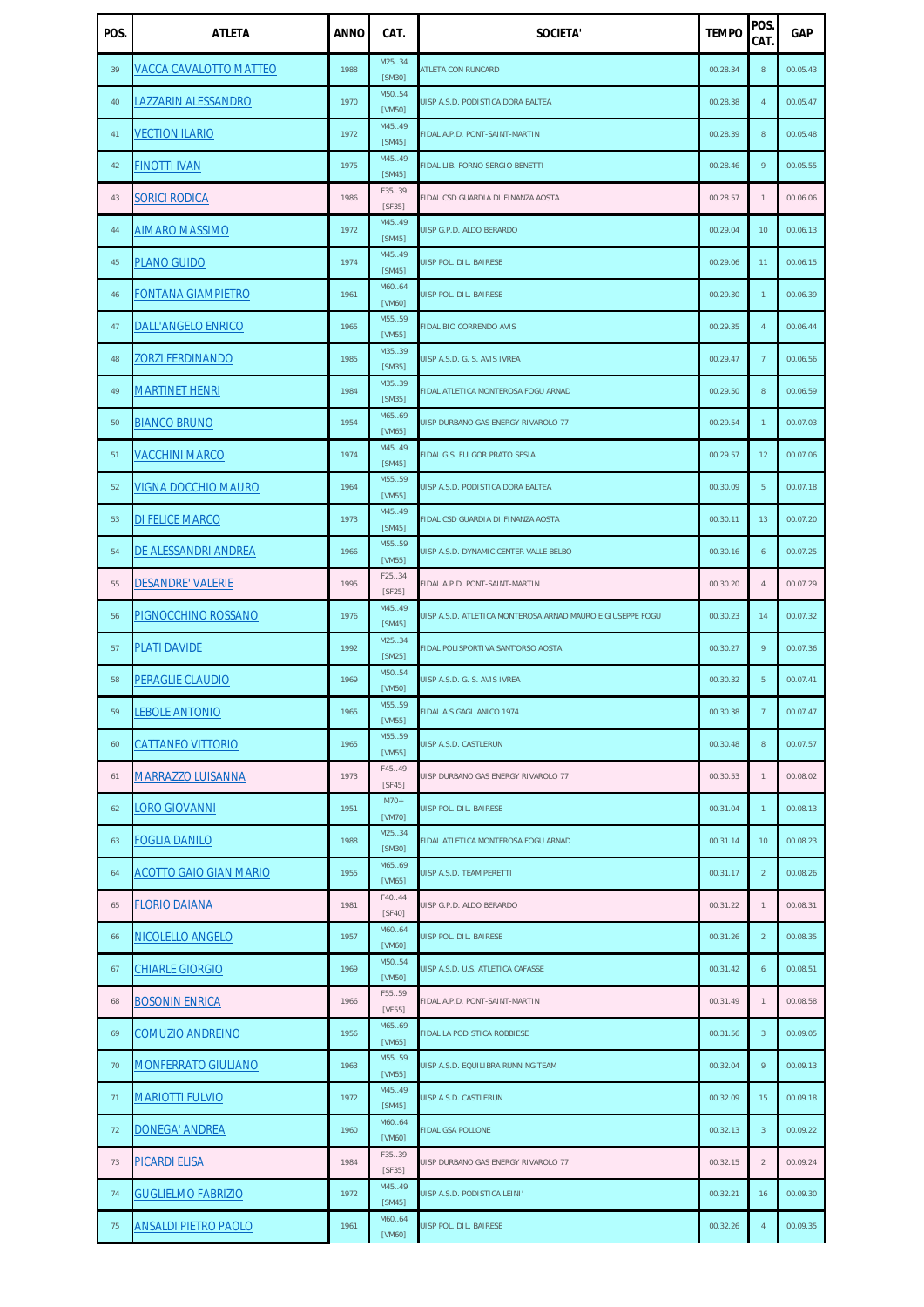| POS. | <b>ATLETA</b>                 | <b>ANNO</b> | CAT.             | <b>SOCIETA'</b>                                            | <b>TEMPO</b> | POS.<br>CAT.     | <b>GAP</b> |
|------|-------------------------------|-------------|------------------|------------------------------------------------------------|--------------|------------------|------------|
| 39   | <b>VACCA CAVALOTTO MATTEO</b> | 1988        | M2534<br>[SM30]  | <b>ATLETA CON RUNCARD</b>                                  | 00.28.34     | $\,8\,$          | 00.05.43   |
| 40   | <b>LAZZARIN ALESSANDRO</b>    | 1970        | M5054<br>[VM50]  | UISP A.S.D. PODISTICA DORA BALTEA                          | 00.28.38     | $\overline{4}$   | 00.05.47   |
| 41   | <b>VECTION ILARIO</b>         | 1972        | M45.49<br>[SM45] | FIDAL A.P.D. PONT-SAINT-MARTIN                             | 00.28.39     | $\,8\,$          | 00.05.48   |
| 42   | <b>FINOTTI IVAN</b>           | 1975        | M4549<br>[SM45]  | FIDAL LIB. FORNO SERGIO BENETTI                            | 00.28.46     | 9                | 00.05.55   |
| 43   | <b>SORICI RODICA</b>          | 1986        | F35.39<br>[SF35] | FIDAL CSD GUARDIA DI FINANZA AOSTA                         | 00.28.57     | $\mathbf{1}$     | 00.06.06   |
| 44   | <b>AIMARO MASSIMO</b>         | 1972        | M45.49<br>[SM45] | UISP G.P.D. ALDO BERARDO                                   | 00.29.04     | 10 <sup>°</sup>  | 00.06.13   |
| 45   | <b>PLANO GUIDO</b>            | 1974        | M45.49<br>[SM45] | UISP POL. DIL. BAIRESE                                     | 00.29.06     | 11               | 00.06.15   |
| 46   | <b>FONTANA GIAMPIETRO</b>     | 1961        | M6064<br>[VM60]  | UISP POL. DIL. BAIRESE                                     | 00.29.30     | $\mathbf{1}$     | 00.06.39   |
| 47   | <b>DALL'ANGELO ENRICO</b>     | 1965        | M5559<br>[VM55]  | FIDAL BIO CORRENDO AVIS                                    | 00.29.35     | $\overline{4}$   | 00.06.44   |
| 48   | <b>ZORZI FERDINANDO</b>       | 1985        | M3539<br>[SM35]  | UISP A.S.D. G. S. AVIS IVREA                               | 00.29.47     | $\overline{7}$   | 00.06.56   |
| 49   | <b>MARTINET HENRI</b>         | 1984        | M3539<br>[SM35]  | FIDAL ATLETICA MONTEROSA FOGU ARNAD                        | 00.29.50     | $\,8\,$          | 00.06.59   |
| 50   | <b>BIANCO BRUNO</b>           | 1954        | M6569<br>[VM65]  | UISP DURBANO GAS ENERGY RIVAROLO 77                        | 00.29.54     | $\mathbf{1}$     | 00.07.03   |
| 51   | <b>VACCHINI MARCO</b>         | 1974        | M4549<br>[SM45]  | FIDAL G.S. FULGOR PRATO SESIA                              | 00.29.57     | 12 <sup>2</sup>  | 00.07.06   |
| 52   | <b>VIGNA DOCCHIO MAURO</b>    | 1964        | M5559<br>[VM55]  | UISP A.S.D. PODISTICA DORA BALTEA                          | 00.30.09     | $5\phantom{.0}$  | 00.07.18   |
| 53   | <b>DI FELICE MARCO</b>        | 1973        | M45.49<br>[SM45] | FIDAL CSD GUARDIA DI FINANZA AOSTA                         | 00.30.11     | 13               | 00.07.20   |
| 54   | DE ALESSANDRI ANDREA          | 1966        | M5559<br>[VM55]  | UISP A.S.D. DYNAMIC CENTER VALLE BELBO                     | 00.30.16     | 6                | 00.07.25   |
| 55   | <b>DESANDRE' VALERIE</b>      | 1995        | F25.34<br>[SF25] | FIDAL A.P.D. PONT-SAINT-MARTIN                             | 00.30.20     | $\overline{4}$   | 00.07.29   |
| 56   | PIGNOCCHINO ROSSANO           | 1976        | M45.49<br>[SM45] | UISP A.S.D. ATLETICA MONTEROSA ARNAD MAURO E GIUSEPPE FOGU | 00.30.23     | 14               | 00.07.32   |
| 57   | <b>PLATI DAVIDE</b>           | 1992        | M2534<br>[SM25]  | FIDAL POLISPORTIVA SANT'ORSO AOSTA                         | 00.30.27     | 9                | 00.07.36   |
| 58   | <b>PERAGLIE CLAUDIO</b>       | 1969        | M5054<br>[VM50]  | UISP A.S.D. G. S. AVIS IVREA                               | 00.30.32     | $5\phantom{.}$   | 00.07.41   |
| 59   | <b>LEBOLE ANTONIO</b>         | 1965        | M5559<br>[VM55]  | FIDAL A.S.GAGLIANICO 1974                                  | 00.30.38     | $7\overline{ }$  | 00.07.47   |
| 60   | <b>CATTANEO VITTORIO</b>      | 1965        | M5559<br>[VM55]  | UISP A.S.D. CASTLERUN                                      | 00.30.48     | 8                | 00.07.57   |
| 61   | <b>MARRAZZO LUISANNA</b>      | 1973        | F45.49<br>[SF45] | UISP DURBANO GAS ENERGY RIVAROLO 77                        | 00.30.53     | $\mathbf{1}$     | 00.08.02   |
| 62   | <b>LORO GIOVANNI</b>          | 1951        | $M70+$<br>[VM70] | UISP POL. DIL. BAIRESE                                     | 00.31.04     | $\mathbf{1}$     | 00.08.13   |
| 63   | <b>FOGLIA DANILO</b>          | 1988        | M2534<br>[SM30]  | FIDAL ATLETICA MONTEROSA FOGU ARNAD                        | 00.31.14     | 10 <sup>°</sup>  | 00.08.23   |
| 64   | <b>ACOTTO GAIO GIAN MARIO</b> | 1955        | M6569<br>[VM65]  | UISP A.S.D. TEAM PERETTI                                   | 00.31.17     | $\overline{2}$   | 00.08.26   |
| 65   | <b>FLORIO DAIANA</b>          | 1981        | F40.44<br>[SF40] | UISP G.P.D. ALDO BERARDO                                   | 00.31.22     | $\mathbf{1}$     | 00.08.31   |
| 66   | NICOLELLO ANGELO              | 1957        | M6064<br>[VM60]  | UISP POL. DIL. BAIRESE                                     | 00.31.26     | 2                | 00.08.35   |
| 67   | <b>CHIARLE GIORGIO</b>        | 1969        | M5054<br>[VM50]  | UISP A.S.D. U.S. ATLETICA CAFASSE                          | 00.31.42     | 6                | 00.08.51   |
| 68   | <b>BOSONIN ENRICA</b>         | 1966        | F5559<br>[VF55]  | IDAL A.P.D. PONT-SAINT-MARTIN                              | 00.31.49     | $\mathbf{1}$     | 00.08.58   |
| 69   | <b>COMUZIO ANDREINO</b>       | 1956        | M6569<br>[VM65]  | FIDAL LA PODISTICA ROBBIESE                                | 00.31.56     | $\overline{3}$   | 00.09.05   |
| 70   | <b>MONFERRATO GIULIANO</b>    | 1963        | M5559<br>[VM55]  | UISP A.S.D. EQUILIBRA RUNNING TEAM                         | 00.32.04     | 9                | 00.09.13   |
| 71   | <b>MARIOTTI FULVIO</b>        | 1972        | M45.49<br>[SM45] | UISP A.S.D. CASTLERUN                                      | 00.32.09     | 15 <sup>15</sup> | 00.09.18   |
| 72   | <b>DONEGA' ANDREA</b>         | 1960        | M6064<br>[VM60]  | <b>FIDAL GSA POLLONE</b>                                   | 00.32.13     | $\overline{3}$   | 00.09.22   |
| 73   | <b>PICARDI ELISA</b>          | 1984        | F35.39<br>[SF35] | UISP DURBANO GAS ENERGY RIVAROLO 77                        | 00.32.15     | $\overline{2}$   | 00.09.24   |
| 74   | <b>GUGLIELMO FABRIZIO</b>     | 1972        | M45.49<br>[SM45] | UISP A.S.D. PODISTICA LEINI'                               | 00.32.21     | 16               | 00.09.30   |
| 75   | <b>ANSALDI PIETRO PAOLO</b>   | 1961        | M6064<br>[VM60]  | UISP POL. DIL. BAIRESE                                     | 00.32.26     | $\overline{4}$   | 00.09.35   |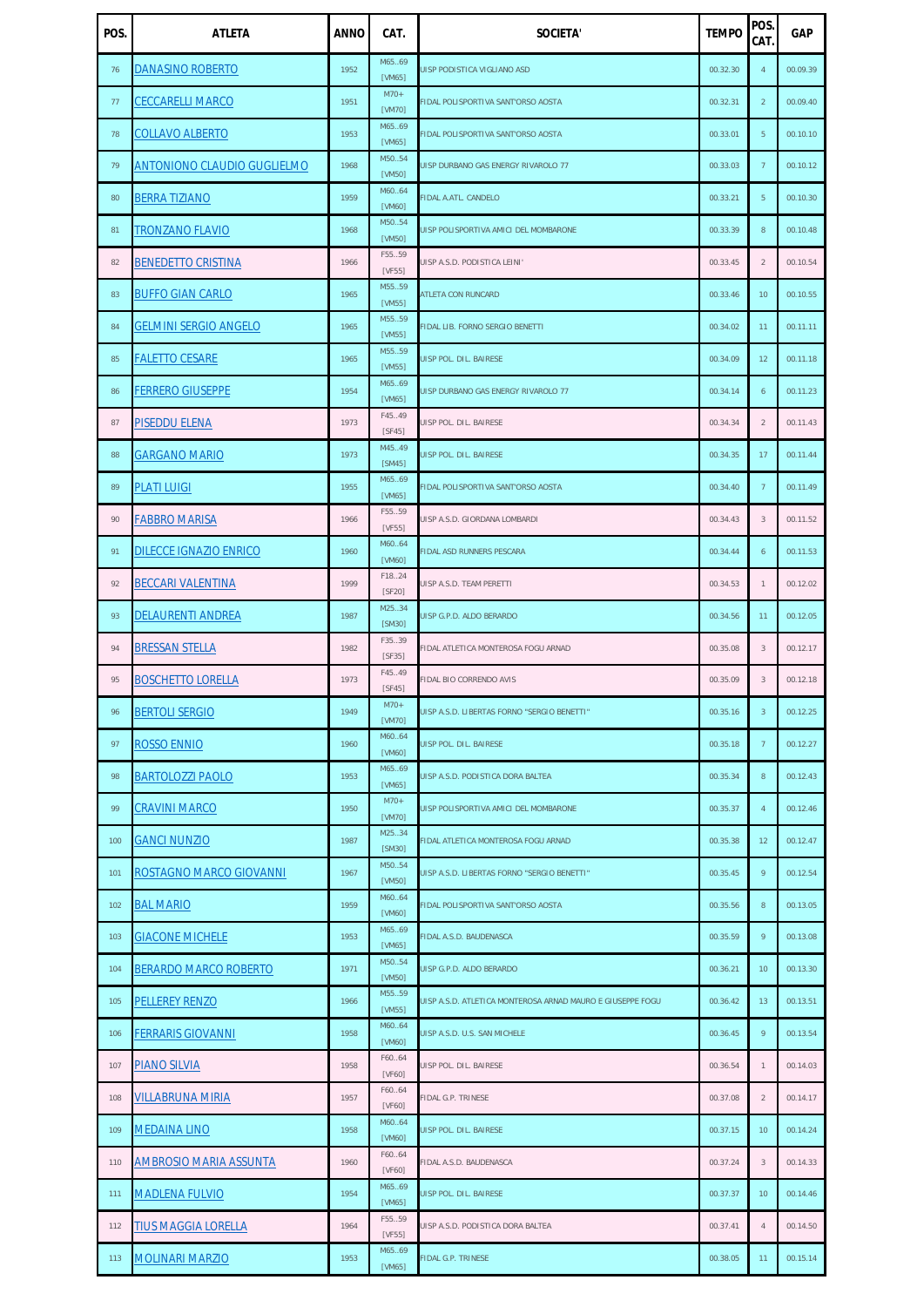| POS. | <b>ATLETA</b>                      | <b>ANNO</b> | CAT.             | <b>SOCIETA'</b>                                            | <b>TEMPO</b> | POS.<br>CAT.    | <b>GAP</b> |
|------|------------------------------------|-------------|------------------|------------------------------------------------------------|--------------|-----------------|------------|
| 76   | <b>DANASINO ROBERTO</b>            | 1952        | M6569<br>[VM65]  | UISP PODISTICA VIGLIANO ASD                                | 00.32.30     | $\overline{4}$  | 00.09.39   |
| 77   | <b>CECCARELLI MARCO</b>            | 1951        | $M70+$<br>[VM70] | FIDAL POLISPORTIVA SANT'ORSO AOSTA                         | 00.32.31     | $\overline{2}$  | 00.09.40   |
| 78   | <b>COLLAVO ALBERTO</b>             | 1953        | M6569<br>[VM65]  | FIDAL POLISPORTIVA SANT'ORSO AOSTA                         | 00.33.01     | 5 <sup>5</sup>  | 00.10.10   |
| 79   | <b>ANTONIONO CLAUDIO GUGLIELMO</b> | 1968        | M5054<br>[VM50]  | UISP DURBANO GAS ENERGY RIVAROLO 77                        | 00.33.03     | $7\phantom{.}$  | 00.10.12   |
| 80   | <b>BERRA TIZIANO</b>               | 1959        | M6064<br>[VM60]  | FIDAL A.ATL. CANDELO                                       | 00.33.21     | 5 <sup>5</sup>  | 00.10.30   |
| 81   | <b>TRONZANO FLAVIO</b>             | 1968        | M5054<br>[VM50]  | UISP POLISPORTIVA AMICI DEL MOMBARONE                      | 00.33.39     | $\,8\,$         | 00.10.48   |
| 82   | <b>BENEDETTO CRISTINA</b>          | 1966        | F5559<br>[VF55]  | UISP A.S.D. PODISTICA LEINI'                               | 00.33.45     | $\overline{2}$  | 00.10.54   |
| 83   | <b>BUFFO GIAN CARLO</b>            | 1965        | M5559<br>[VM55]  | ATLETA CON RUNCARD                                         | 00.33.46     | 10              | 00.10.55   |
| 84   | <b>GELMINI SERGIO ANGELO</b>       | 1965        | M5559<br>[VM55]  | FIDAL LIB. FORNO SERGIO BENETTI                            | 00.34.02     | 11              | 00.11.11   |
| 85   | <b>FALETTO CESARE</b>              | 1965        | M5559<br>[VM55]  | UISP POL. DIL. BAIRESE                                     | 00.34.09     | 12              | 00.11.18   |
| 86   | <b>FERRERO GIUSEPPE</b>            | 1954        | M6569<br>[VM65]  | UISP DURBANO GAS ENERGY RIVAROLO 77                        | 00.34.14     | 6               | 00.11.23   |
| 87   | <b>PISEDDU ELENA</b>               | 1973        | F45.49<br>[SF45] | JISP POL. DIL. BAIRESE                                     | 00.34.34     | $\overline{2}$  | 00.11.43   |
| 88   | <b>GARGANO MARIO</b>               | 1973        | M45.49<br>[SM45] | UISP POL. DIL. BAIRESE                                     | 00.34.35     | 17              | 00.11.44   |
| 89   | <b>PLATI LUIGI</b>                 | 1955        | M6569<br>[VM65]  | <b>FIDAL POLISPORTIVA SANT'ORSO AOSTA</b>                  | 00.34.40     | $\overline{7}$  | 00.11.49   |
| 90   | <b>FABBRO MARISA</b>               | 1966        | F5559<br>[VF55]  | UISP A.S.D. GIORDANA LOMBARDI                              | 00.34.43     | 3               | 00.11.52   |
| 91   | <b>DILECCE IGNAZIO ENRICO</b>      | 1960        | M6064<br>[VM60]  | <b>FIDAL ASD RUNNERS PESCARA</b>                           | 00.34.44     | 6               | 00.11.53   |
| 92   | <b>BECCARI VALENTINA</b>           | 1999        | F1824<br>[SF20]  | UISP A.S.D. TEAM PERETTI                                   | 00.34.53     | $\mathbf{1}$    | 00.12.02   |
| 93   | <b>DELAURENTI ANDREA</b>           | 1987        | M2534<br>[SM30]  | UISP G.P.D. ALDO BERARDO                                   | 00.34.56     | 11              | 00.12.05   |
| 94   | <b>BRESSAN STELLA</b>              | 1982        | F35.39<br>[SF35] | IDAL ATLETICA MONTEROSA FOGU ARNAD                         | 00.35.08     | 3               | 00.12.17   |
| 95   | <b>BOSCHETTO LORELLA</b>           | 1973        | F45.49<br>[SF45] | <b>FIDAL BIO CORRENDO AVIS</b>                             | 00.35.09     | 3               | 00.12.18   |
| 96   | <b>BERTOLI SERGIO</b>              | 1949        | $M70+$<br>[VM70] | UISP A.S.D. LIBERTAS FORNO "SERGIO BENETTI"                | 00.35.16     | $\overline{3}$  | 00.12.25   |
| 97   | <b>ROSSO ENNIO</b>                 | 1960        | M6064<br>[VM60]  | UISP POL. DIL. BAIRESE                                     | 00.35.18     | $\overline{7}$  | 00.12.27   |
| 98   | <b>BARTOLOZZI PAOLO</b>            | 1953        | M6569<br>[VM65]  | UISP A.S.D. PODISTICA DORA BALTEA                          | 00.35.34     | 8               | 00.12.43   |
| 99   | <b>CRAVINI MARCO</b>               | 1950        | $M70+$<br>[VM70] | UISP POLISPORTIVA AMICI DEL MOMBARONE                      | 00.35.37     | $\overline{4}$  | 00.12.46   |
| 100  | <b>GANCI NUNZIO</b>                | 1987        | M2534<br>[SM30]  | FIDAL ATLETICA MONTEROSA FOGU ARNAD                        | 00.35.38     | 12              | 00.12.47   |
| 101  | ROSTAGNO MARCO GIOVANNI            | 1967        | M5054<br>[VM50]  | UISP A.S.D. LIBERTAS FORNO "SERGIO BENETTI"                | 00.35.45     | 9               | 00.12.54   |
| 102  | <b>BAL MARIO</b>                   | 1959        | M6064<br>[VM60]  | FIDAL POLISPORTIVA SANT'ORSO AOSTA                         | 00.35.56     | 8               | 00.13.05   |
| 103  | <b>GIACONE MICHELE</b>             | 1953        | M65.69<br>[VM65] | FIDAL A.S.D. BAUDENASCA                                    | 00.35.59     | 9               | 00.13.08   |
| 104  | <b>BERARDO MARCO ROBERTO</b>       | 1971        | M5054<br>[VM50]  | UISP G.P.D. ALDO BERARDO                                   | 00.36.21     | 10              | 00.13.30   |
| 105  | <b>PELLEREY RENZO</b>              | 1966        | M5559<br>[VM55]  | UISP A.S.D. ATLETICA MONTEROSA ARNAD MAURO E GIUSEPPE FOGU | 00.36.42     | 13 <sup>7</sup> | 00.13.51   |
| 106  | <b>FERRARIS GIOVANNI</b>           | 1958        | M6064<br>[VM60]  | UISP A.S.D. U.S. SAN MICHELE                               | 00.36.45     | 9               | 00.13.54   |
| 107  | <b>PIANO SILVIA</b>                | 1958        | F60.64<br>[VF60] | UISP POL. DIL. BAIRESE                                     | 00.36.54     | $\mathbf{1}$    | 00.14.03   |
| 108  | <b>VILLABRUNA MIRIA</b>            | 1957        | F6064<br>[VF60]  | <b>IDAL G.P. TRINESE</b>                                   | 00.37.08     | $\overline{2}$  | 00.14.17   |
| 109  | <b>MEDAINA LINO</b>                | 1958        | M6064<br>[VM60]  | UISP POL. DIL. BAIRESE                                     | 00.37.15     | 10 <sup>°</sup> | 00.14.24   |
| 110  | <b>AMBROSIO MARIA ASSUNTA</b>      | 1960        | F6064<br>[VF60]  | <b>FIDAL A.S.D. BAUDENASCA</b>                             | 00.37.24     | 3               | 00.14.33   |
| 111  | <b>MADLENA FULVIO</b>              | 1954        | M6569<br>[VM65]  | UISP POL. DIL. BAIRESE                                     | 00.37.37     | 10              | 00.14.46   |
| 112  | <b>TIUS MAGGIA LORELLA</b>         | 1964        | F5559<br>[VF55]  | JISP A.S.D. PODISTICA DORA BALTEA                          | 00.37.41     | $\overline{4}$  | 00.14.50   |
| 113  | <b>MOLINARI MARZIO</b>             | 1953        | M6569<br>[VM65]  | <b>FIDAL G.P. TRINESE</b>                                  | 00.38.05     | 11              | 00.15.14   |